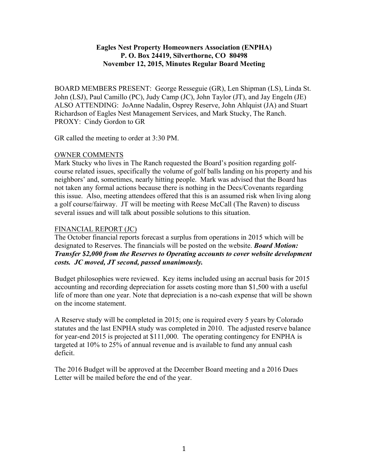## **Eagles Nest Property Homeowners Association (ENPHA) P. O. Box 24419, Silverthorne, CO 80498 November 12, 2015, Minutes Regular Board Meeting**

BOARD MEMBERS PRESENT: George Resseguie (GR), Len Shipman (LS), Linda St. John (LSJ), Paul Camillo (PC), Judy Camp (JC), John Taylor (JT), and Jay Engeln (JE) ALSO ATTENDING: JoAnne Nadalin, Osprey Reserve, John Ahlquist (JA) and Stuart Richardson of Eagles Nest Management Services, and Mark Stucky, The Ranch. PROXY: Cindy Gordon to GR

GR called the meeting to order at 3:30 PM.

## OWNER COMMENTS

Mark Stucky who lives in The Ranch requested the Board's position regarding golfcourse related issues, specifically the volume of golf balls landing on his property and his neighbors' and, sometimes, nearly hitting people. Mark was advised that the Board has not taken any formal actions because there is nothing in the Decs/Covenants regarding this issue. Also, meeting attendees offered that this is an assumed risk when living along a golf course/fairway. JT will be meeting with Reese McCall (The Raven) to discuss several issues and will talk about possible solutions to this situation.

## FINANCIAL REPORT (JC)

The October financial reports forecast a surplus from operations in 2015 which will be designated to Reserves. The financials will be posted on the website. *Board Motion: Transfer \$2,000 from the Reserves to Operating accounts to cover website development costs. JC moved, JT second, passed unanimously.*

Budget philosophies were reviewed. Key items included using an accrual basis for 2015 accounting and recording depreciation for assets costing more than \$1,500 with a useful life of more than one year. Note that depreciation is a no-cash expense that will be shown on the income statement.

A Reserve study will be completed in 2015; one is required every 5 years by Colorado statutes and the last ENPHA study was completed in 2010. The adjusted reserve balance for year-end 2015 is projected at \$111,000. The operating contingency for ENPHA is targeted at 10% to 25% of annual revenue and is available to fund any annual cash deficit.

The 2016 Budget will be approved at the December Board meeting and a 2016 Dues Letter will be mailed before the end of the year.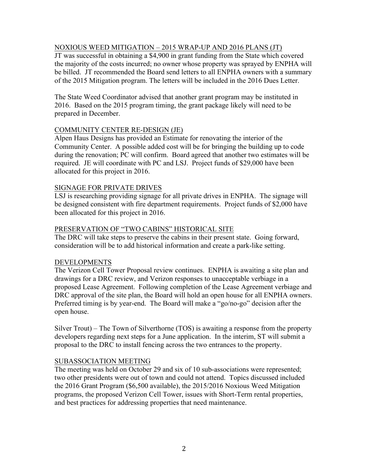## NOXIOUS WEED MITIGATION – 2015 WRAP-UP AND 2016 PLANS (JT)

JT was successful in obtaining a \$4,900 in grant funding from the State which covered the majority of the costs incurred; no owner whose property was sprayed by ENPHA will be billed. JT recommended the Board send letters to all ENPHA owners with a summary of the 2015 Mitigation program. The letters will be included in the 2016 Dues Letter.

The State Weed Coordinator advised that another grant program may be instituted in 2016. Based on the 2015 program timing, the grant package likely will need to be prepared in December.

## COMMUNITY CENTER RE-DESIGN (JE)

Alpen Haus Designs has provided an Estimate for renovating the interior of the Community Center. A possible added cost will be for bringing the building up to code during the renovation; PC will confirm. Board agreed that another two estimates will be required. JE will coordinate with PC and LSJ. Project funds of \$29,000 have been allocated for this project in 2016.

## SIGNAGE FOR PRIVATE DRIVES

LSJ is researching providing signage for all private drives in ENPHA. The signage will be designed consistent with fire department requirements. Project funds of \$2,000 have been allocated for this project in 2016.

## PRESERVATION OF "TWO CABINS" HISTORICAL SITE

The DRC will take steps to preserve the cabins in their present state. Going forward, consideration will be to add historical information and create a park-like setting.

# DEVELOPMENTS

The Verizon Cell Tower Proposal review continues. ENPHA is awaiting a site plan and drawings for a DRC review, and Verizon responses to unacceptable verbiage in a proposed Lease Agreement. Following completion of the Lease Agreement verbiage and DRC approval of the site plan, the Board will hold an open house for all ENPHA owners. Preferred timing is by year-end. The Board will make a "go/no-go" decision after the open house.

Silver Trout) – The Town of Silverthorne (TOS) is awaiting a response from the property developers regarding next steps for a June application. In the interim, ST will submit a proposal to the DRC to install fencing across the two entrances to the property.

# SUBASSOCIATION MEETING

The meeting was held on October 29 and six of 10 sub-associations were represented; two other presidents were out of town and could not attend. Topics discussed included the 2016 Grant Program (\$6,500 available), the 2015/2016 Noxious Weed Mitigation programs, the proposed Verizon Cell Tower, issues with Short-Term rental properties, and best practices for addressing properties that need maintenance.